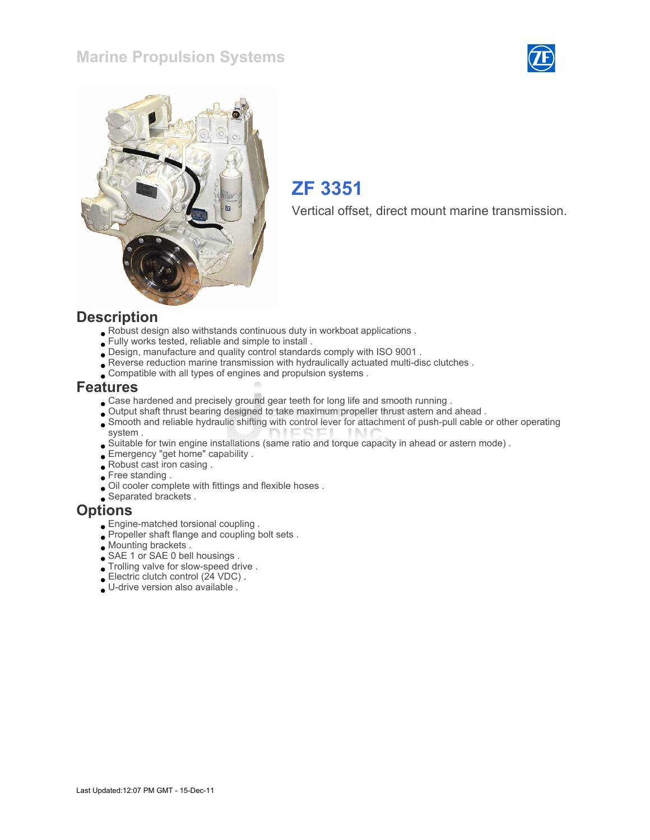### Marine Propulsion Systems





## ZF 3351

Vertical offset, direct mount marine transmission.

#### **Description**

- Robust design also withstands continuous duty in workboat applications .
- Fully works tested, reliable and simple to install .
- Design, manufacture and quality control standards comply with ISO 9001 .
- Reverse reduction marine transmission with hydraulically actuated multi-disc clutches .
- Compatible with all types of engines and propulsion systems .

#### Features

- Case hardened and precisely ground gear teeth for long life and smooth running .
- Output shaft thrust bearing designed to take maximum propeller thrust astern and ahead .
- Smooth and reliable hydraulic shifting with control lever for attachment of push-pull cable or other operating system .
- Suitable for twin engine installations (same ratio and torque capacity in ahead or astern mode) .
- Emergency "get home" capability .
- Robust cast iron casing .
- Free standing .
- Oil cooler complete with fittings and flexible hoses .
- Separated brackets .

#### **Options**

- Engine-matched torsional coupling .
- Propeller shaft flange and coupling bolt sets.
- Mounting brackets .
- SAE 1 or SAE 0 bell housings .
- Trolling valve for slow-speed drive .
- Electric clutch control (24 VDC) .
- U-drive version also available .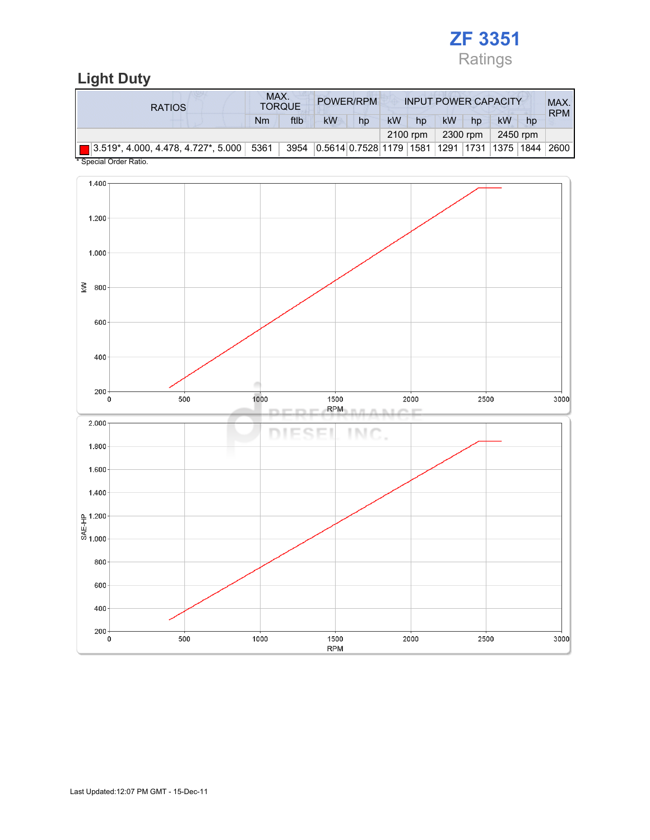

## Light Duty

| <b>RATIOS</b>                                                                | MAX. | <b>TORQUE</b> | POWER/RPM                                                 | <b>INPUT POWER CAPACITY</b> |    |          |           |          |          | MAX.<br><b>RPM</b> |      |
|------------------------------------------------------------------------------|------|---------------|-----------------------------------------------------------|-----------------------------|----|----------|-----------|----------|----------|--------------------|------|
|                                                                              | Nm   | ftlb          | kW                                                        | hp                          | kW | hp       | <b>kW</b> | hp       | kW       | hp                 |      |
|                                                                              |      |               |                                                           |                             |    | 2100 rpm |           | 2300 rpm | 2450 rpm |                    |      |
| $\Box$ 3.519*, 4.000, 4.478, 4.727*, 5.000 $\Box$ 5361<br>$*$ Consider Detic |      | 3954          | 0.5614   0.7528   1179   1581   1291   1731   1375   1844 |                             |    |          |           |          |          |                    | 2600 |

Special Order Ratio.

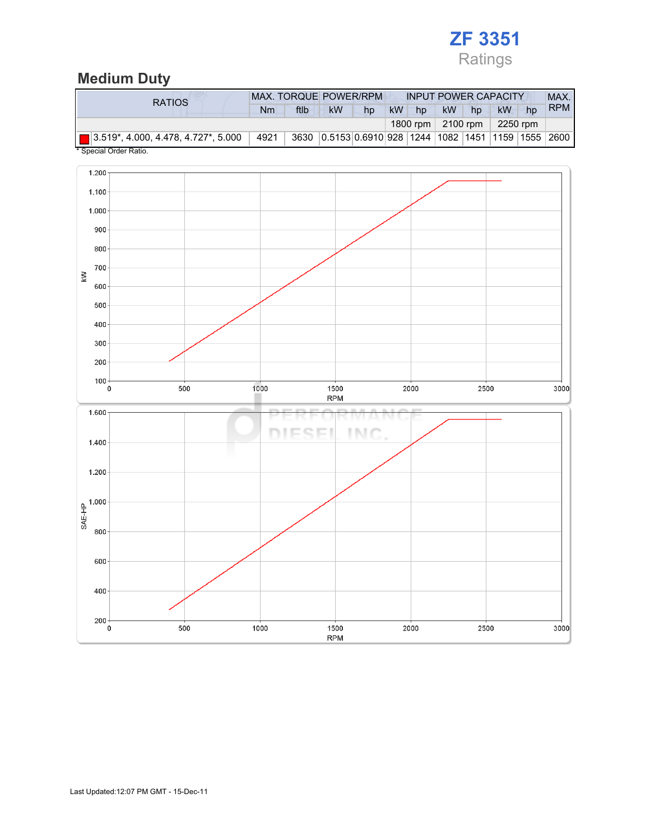## ZF 3351 Ratings

### Medium Duty

| <b>RATIOS</b>                              | <b>MAX. TORQUE POWER/RPM</b> |      |                                                      |    |           | <b>INPUT POWER CAPACITY</b> |           |    |    |    |            |
|--------------------------------------------|------------------------------|------|------------------------------------------------------|----|-----------|-----------------------------|-----------|----|----|----|------------|
|                                            | Nm                           | ftlb | <b>kW</b>                                            | hp | <b>kW</b> | hp                          | <b>kW</b> | hp | kW | hp | <b>RPM</b> |
|                                            |                              |      | 1800 rpm $\vert$ 2100 rpm $\vert$                    |    | 2250 rpm  |                             |           |    |    |    |            |
| $\Box$ 3.519*, 4.000, 4.478, 4.727*, 5.000 | 4921                         |      | 3630 0.5153 0.6910 928 1244 1082 1451 1159 1555 2600 |    |           |                             |           |    |    |    |            |
| * Special Order Ratio.                     |                              |      |                                                      |    |           |                             |           |    |    |    |            |

 $1.200$  $1.100$  $1.000 \cdot$ 900  $800 \cdot$ 700  $\tilde{\mathcal{S}}$ 600 500 400  $300<sub>1</sub>$  $200$  $100 +$ 1000 2000 2500  $3000$  $\pmb{0}$  $500\,$ 1500 **RPM** 1.600 DIESEL **INC** 1.400  $1.200$  $rac{4}{\frac{1}{\frac{1}{\sqrt{2}}}}$  1.000 800 600  $400 \cdot$  $\begin{array}{c}\n200 \\
0\n\end{array}$ 500 1000 1500 2000 2500 3000 **RPM**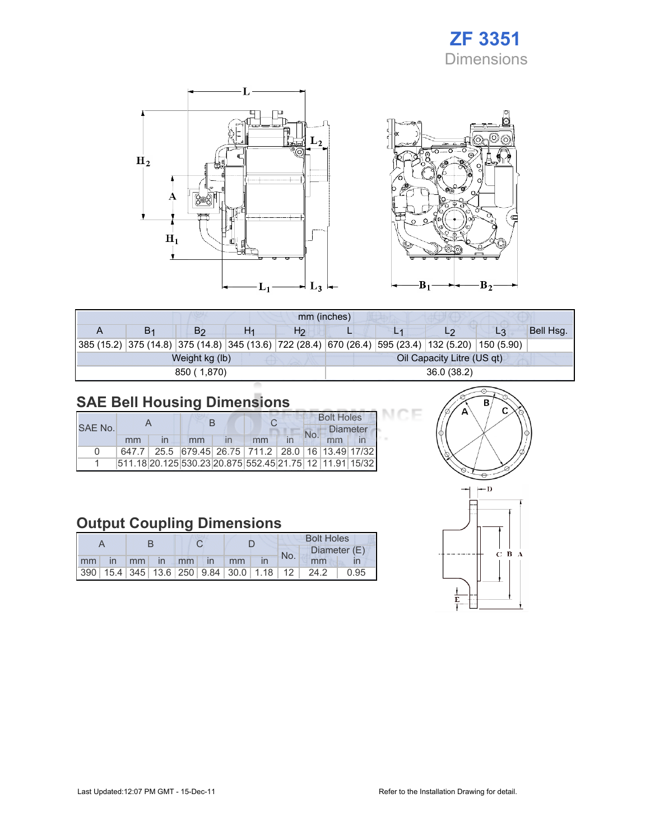## ZF 3351 Dimensions





| mm (inches) |                |  |                |                            |  |                                                                                                                    |    |           |  |  |  |
|-------------|----------------|--|----------------|----------------------------|--|--------------------------------------------------------------------------------------------------------------------|----|-----------|--|--|--|
| B1          | B <sub>2</sub> |  | H <sub>2</sub> |                            |  | L2                                                                                                                 | L3 | Bell Hsq. |  |  |  |
|             |                |  |                |                            |  | 385 (15.2)   375 (14.8)   375 (14.8)   345 (13.6)   722 (28.4)   670 (26.4)   595 (23.4)   132 (5.20)   150 (5.90) |    |           |  |  |  |
|             | Weight kg (lb) |  |                | Oil Capacity Litre (US qt) |  |                                                                                                                    |    |           |  |  |  |
|             | 850 (1,870)    |  |                |                            |  | 36.0 (38.2)                                                                                                        |    |           |  |  |  |

## SAE Bell Housing Dimensions

|         |    |              |    |  |                                                         | <b>Bolt Holes</b> |    |                 |  |
|---------|----|--------------|----|--|---------------------------------------------------------|-------------------|----|-----------------|--|
| SAE No. |    |              |    |  |                                                         |                   |    | <b>Diameter</b> |  |
|         | mm | $\mathsf{I}$ | mm |  | mm                                                      |                   | mm |                 |  |
|         |    |              |    |  | 647.7 25.5 679.45 26.75 711.2 28.0 16 13.49 17/32       |                   |    |                 |  |
|         |    |              |    |  | 511.18 20.125 530.23 20.875 552.45 21.75 12 11.91 15/32 |                   |    |                 |  |

## Output Coupling Dimensions

|    |              |    |             |       | <b>Bolt Holes</b> |                                                         |  |     |      |              |
|----|--------------|----|-------------|-------|-------------------|---------------------------------------------------------|--|-----|------|--------------|
|    |              |    |             |       |                   |                                                         |  | No. |      | Diameter (E) |
| mm | $\mathsf{I}$ | mm | $\sqrt{10}$ | $-mm$ |                   | mm                                                      |  |     | mm   |              |
|    |              |    |             |       |                   | 390   15.4   345   13.6   250   9.84   30.0   1.18   12 |  |     | 24.2 | 0.95         |